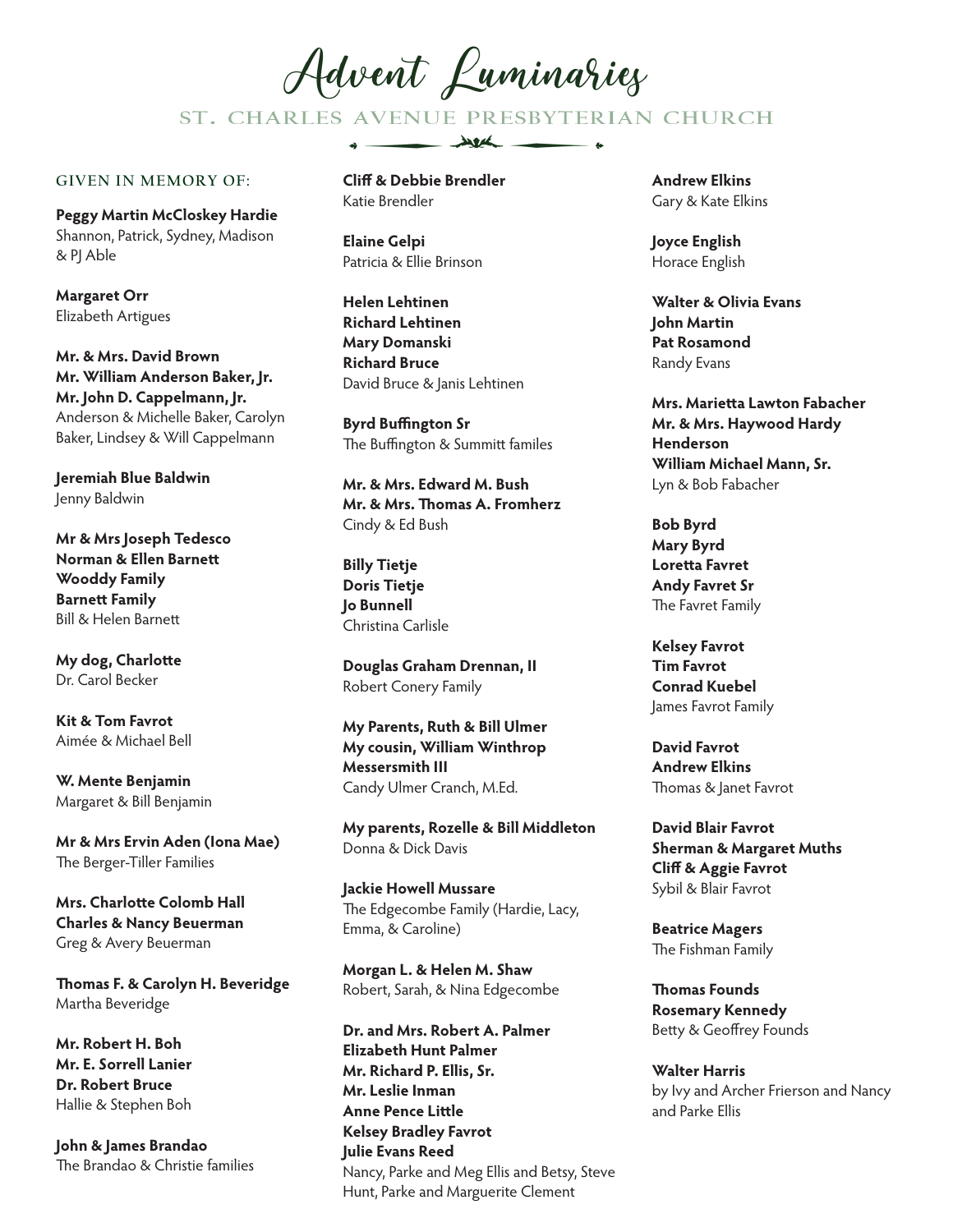Advent Luminariez

ST. CHARLES AVENUE PRESBYTERIAN CHURCH

 $\overline{\phantom{a}}$ 

## **GIVEN IN MEMORY OF:**

**Peggy Martin McCloskey Hardie** Shannon, Patrick, Sydney, Madison & PJ Able

**Margaret Orr** Elizabeth Artigues

**Mr. & Mrs. David Brown Mr. William Anderson Baker, Jr. Mr. John D. Cappelmann, Jr.** Anderson & Michelle Baker, Carolyn Baker, Lindsey & Will Cappelmann

**Jeremiah Blue Baldwin** Jenny Baldwin

**Mr & Mrs Joseph Tedesco Norman & Ellen Barnett Wooddy Family Barnett Family** Bill & Helen Barnett

**My dog, Charlotte** Dr. Carol Becker

**Kit & Tom Favrot** Aimée & Michael Bell

**W. Mente Benjamin** Margaret & Bill Benjamin

**Mr & Mrs Ervin Aden (Iona Mae)** The Berger-Tiller Families

**Mrs. Charlotte Colomb Hall Charles & Nancy Beuerman** Greg & Avery Beuerman

**Thomas F. & Carolyn H. Beveridge** Martha Beveridge

**Mr. Robert H. Boh Mr. E. Sorrell Lanier Dr. Robert Bruce** Hallie & Stephen Boh

**John & James Brandao** The Brandao & Christie families **Cliff & Debbie Brendler** Katie Brendler

 $\triangle$   $\equiv$ 

**Elaine Gelpi** Patricia & Ellie Brinson

**Helen Lehtinen Richard Lehtinen Mary Domanski Richard Bruce** David Bruce & Janis Lehtinen

**Byrd Buffington Sr** The Buffington & Summitt familes

**Mr. & Mrs. Edward M. Bush Mr. & Mrs. Thomas A. Fromherz** Cindy & Ed Bush

**Billy Tietje Doris Tietje Jo Bunnell** Christina Carlisle

**Douglas Graham Drennan, II** Robert Conery Family

**My Parents, Ruth & Bill Ulmer My cousin, William Winthrop Messersmith III** Candy Ulmer Cranch, M.Ed.

**My parents, Rozelle & Bill Middleton** Donna & Dick Davis

**Jackie Howell Mussare** The Edgecombe Family (Hardie, Lacy, Emma, & Caroline)

**Morgan L. & Helen M. Shaw** Robert, Sarah, & Nina Edgecombe

**Dr. and Mrs. Robert A. Palmer Elizabeth Hunt Palmer Mr. Richard P. Ellis, Sr. Mr. Leslie Inman Anne Pence Little Kelsey Bradley Favrot Julie Evans Reed** Nancy, Parke and Meg Ellis and Betsy, Steve Hunt, Parke and Marguerite Clement

**Andrew Elkins** Gary & Kate Elkins

**Joyce English** Horace English

**Walter & Olivia Evans John Martin Pat Rosamond** Randy Evans

**Mrs. Marietta Lawton Fabacher Mr. & Mrs. Haywood Hardy Henderson William Michael Mann, Sr.**  Lyn & Bob Fabacher

**Bob Byrd Mary Byrd Loretta Favret Andy Favret Sr** The Favret Family

**Kelsey Favrot Tim Favrot Conrad Kuebel** James Favrot Family

**David Favrot Andrew Elkins** Thomas & Janet Favrot

**David Blair Favrot Sherman & Margaret Muths Cliff & Aggie Favrot** Sybil & Blair Favrot

**Beatrice Magers** The Fishman Family

**Thomas Founds Rosemary Kennedy** Betty & Geoffrey Founds

**Walter Harris** by Ivy and Archer Frierson and Nancy and Parke Ellis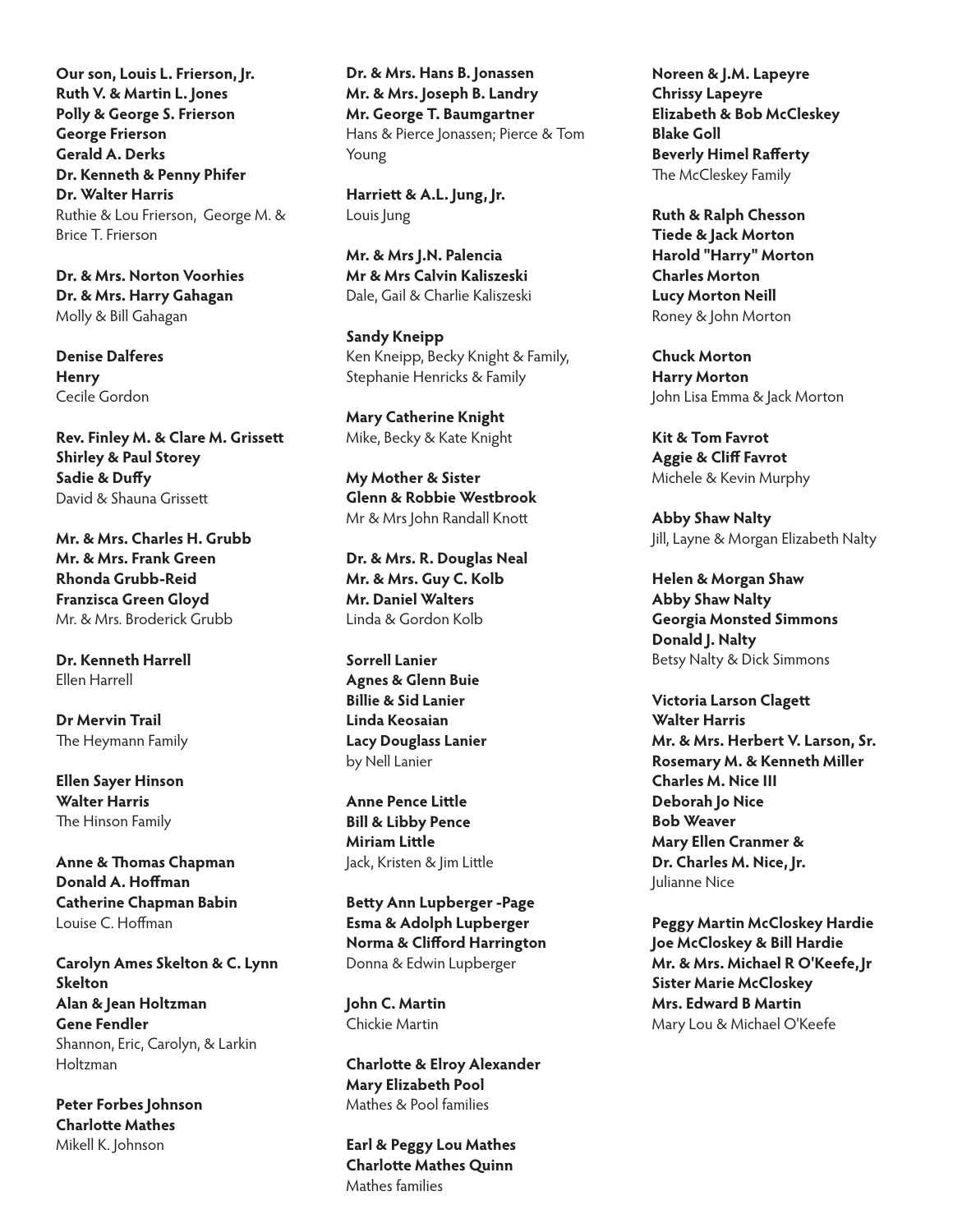**Our son, Louis L. Frierson, Jr. Ruth V. & Martin L. Jones Polly & George S. Frierson George Frierson Gerald A. Derks Dr. Kenneth & Penny Phifer Dr. Walter Harris**  Ruthie & Lou Frierson, George M. & Brice T. Frierson

**Dr. & Mrs. Norton Voorhies Dr. & Mrs. Harry Gahagan** Molly & Bill Gahagan

**Denise Dalferes Henry** Cecile Gordon

**Rev. Finley M. & Clare M. Grissett Shirley & Paul Storey Sadie & Duffy** David & Shauna Grissett

**Mr. & Mrs. Charles H. Grubb Mr. & Mrs. Frank Green Rhonda Grubb-Reid Franzisca Green Gloyd** Mr. & Mrs. Broderick Grubb

**Dr. Kenneth Harrell** Ellen Harrell

**Dr Mervin Trail** The Heymann Family

**Ellen Sayer Hinson Walter Harris** The Hinson Family

**Anne & Thomas Chapman Donald A. Hoffman Catherine Chapman Babin** Louise C. Hoffman

**Carolyn Ames Skelton & C. Lynn Skelton Alan & Jean Holtzman Gene Fendler** Shannon, Eric, Carolyn, & Larkin Holtzman

**Peter Forbes Johnson Charlotte Mathes** Mikell K. Johnson

**Dr. & Mrs. Hans B. Jonassen Mr. & Mrs. Joseph B. Landry Mr. George T. Baumgartner** Hans & Pierce Jonassen; Pierce & Tom Young

**Harriett & A.L. Jung, Jr.** Louis Jung

**Mr. & Mrs J.N. Palencia Mr & Mrs Calvin Kaliszeski** Dale, Gail & Charlie Kaliszeski

**Sandy Kneipp** Ken Kneipp, Becky Knight & Family, Stephanie Henricks & Family

**Mary Catherine Knight** Mike, Becky & Kate Knight

**My Mother & Sister Glenn & Robbie Westbrook** Mr & Mrs John Randall Knott

**Dr. & Mrs. R. Douglas Neal Mr. & Mrs. Guy C. Kolb Mr. Daniel Walters** Linda & Gordon Kolb

**Sorrell Lanier Agnes & Glenn Buie Billie & Sid Lanier Linda Keosaian Lacy Douglass Lanier** by Nell Lanier

**Anne Pence Little Bill & Libby Pence Miriam Little** Jack, Kristen & Jim Little

**Betty Ann Lupberger -Page Esma & Adolph Lupberger Norma & Clifford Harrington** Donna & Edwin Lupberger

**John C. Martin** Chickie Martin

**Charlotte & Elroy Alexander Mary Elizabeth Pool** Mathes & Pool families

**Earl & Peggy Lou Mathes Charlotte Mathes Quinn** Mathes families

**Noreen & J.M. Lapeyre Chrissy Lapeyre Elizabeth & Bob McCleskey Blake Goll Beverly Himel Rafferty** The McCleskey Family

**Ruth & Ralph Chesson Tiede & Jack Morton Harold "Harry" Morton Charles Morton Lucy Morton Neill** Roney & John Morton

**Chuck Morton Harry Morton** John Lisa Emma & Jack Morton

**Kit & Tom Favrot Aggie & Cliff Favrot** Michele & Kevin Murphy

**Abby Shaw Nalty** Jill, Layne & Morgan Elizabeth Nalty

**Helen & Morgan Shaw Abby Shaw Nalty Georgia Monsted Simmons Donald J. Nalty** Betsy Nalty & Dick Simmons

**Victoria Larson Clagett Walter Harris Mr. & Mrs. Herbert V. Larson, Sr. Rosemary M. & Kenneth Miller Charles M. Nice III Deborah Jo Nice Bob Weaver Mary Ellen Cranmer & Dr. Charles M. Nice, Jr.**  Julianne Nice

**Peggy Martin McCloskey Hardie Joe McCloskey & Bill Hardie Mr. & Mrs. Michael R O'Keefe, Jr Sister Marie McCloskey Mrs. Edward B Martin** Mary Lou & Michael O'Keefe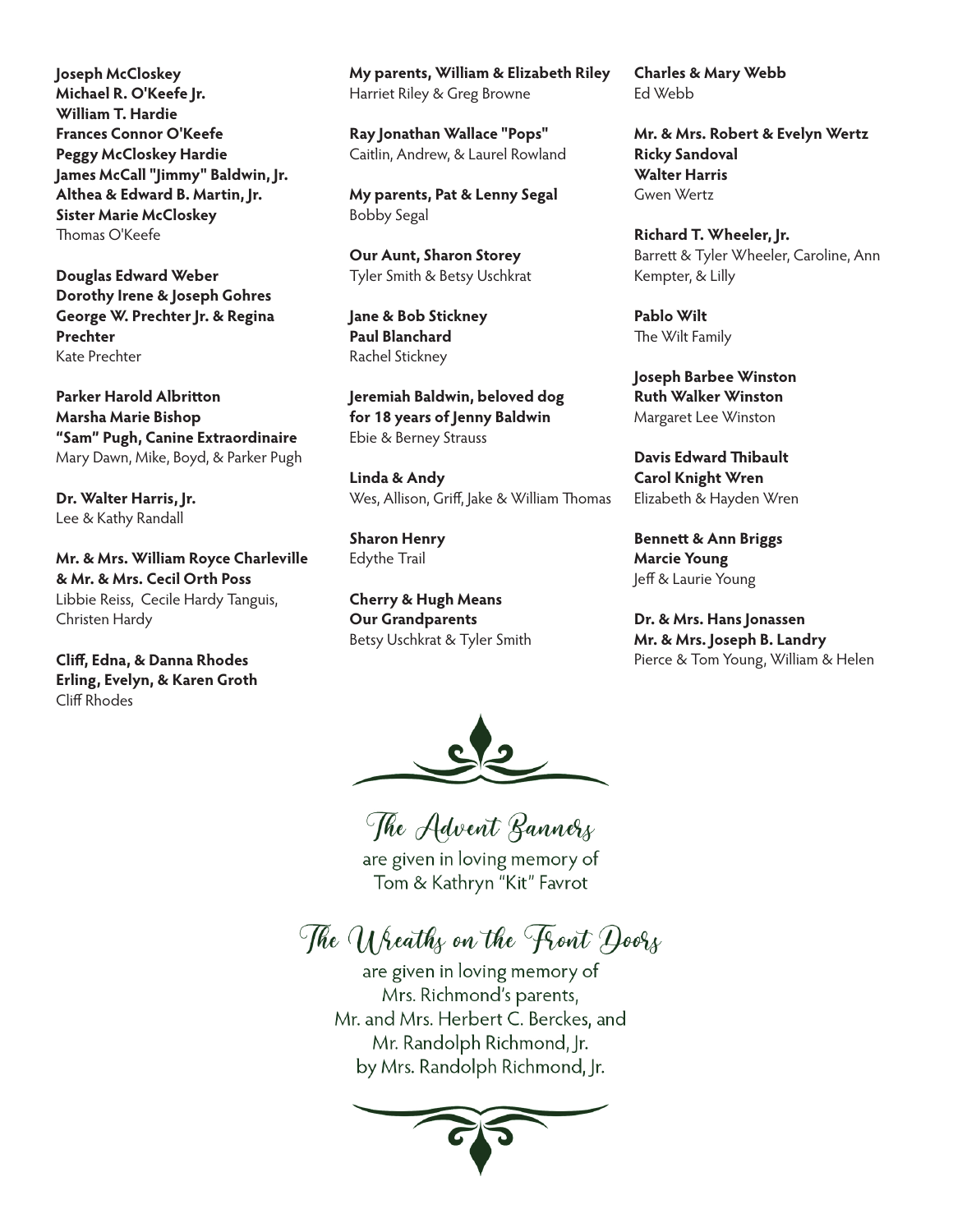**Joseph McCloskey Michael R. O'Keefe Jr. William T. Hardie Frances Connor O'Keefe Peggy McCloskey Hardie James McCall "Jimmy" Baldwin, Jr. Althea & Edward B. Martin, Jr. Sister Marie McCloskey** Thomas O'Keefe

**Douglas Edward Weber Dorothy Irene & Joseph Gohres George W. Prechter Jr. & Regina Prechter** Kate Prechter

**Parker Harold Albritton Marsha Marie Bishop "Sam" Pugh, Canine Extraordinaire** Mary Dawn, Mike, Boyd, & Parker Pugh

**Dr. Walter Harris, Jr.**  Lee & Kathy Randall

**Mr. & Mrs. William Royce Charleville & Mr. & Mrs. Cecil Orth Poss** Libbie Reiss, Cecile Hardy Tanguis, Christen Hardy

**Cliff, Edna, & Danna Rhodes Erling, Evelyn, & Karen Groth** Cliff Rhodes

**My parents, William & Elizabeth Riley** Harriet Riley & Greg Browne

**Ray Jonathan Wallace "Pops"** Caitlin, Andrew, & Laurel Rowland

**My parents, Pat & Lenny Segal** Bobby Segal

**Our Aunt, Sharon Storey** Tyler Smith & Betsy Uschkrat

**Jane & Bob Stickney Paul Blanchard** Rachel Stickney

**Jeremiah Baldwin, beloved dog for 18 years of Jenny Baldwin** Ebie & Berney Strauss

**Linda & Andy** Wes, Allison, Griff, Jake & William Thomas

**Sharon Henry** Edythe Trail

**Cherry & Hugh Means Our Grandparents** Betsy Uschkrat & Tyler Smith **Charles & Mary Webb** Ed Webb

**Mr. & Mrs. Robert & Evelyn Wertz Ricky Sandoval Walter Harris** Gwen Wertz

**Richard T. Wheeler, Jr.** Barrett & Tyler Wheeler, Caroline, Ann Kempter, & Lilly

**Pablo Wilt** The Wilt Family

**Joseph Barbee Winston Ruth Walker Winston** Margaret Lee Winston

**Davis Edward Thibault Carol Knight Wren** Elizabeth & Hayden Wren

**Bennett & Ann Briggs Marcie Young** Jeff & Laurie Young

**Dr. & Mrs. Hans Jonassen Mr. & Mrs. Joseph B. Landry** Pierce & Tom Young, William & Helen



The Advent Bannery

are given in loving memory of Tom & Kathryn "Kit" Favrot

The U heaths on the Front Doors

are given in loving memory of Mrs. Richmond's parents, Mr. and Mrs. Herbert C. Berckes, and Mr. Randolph Richmond, Jr. by Mrs. Randolph Richmond, Jr.